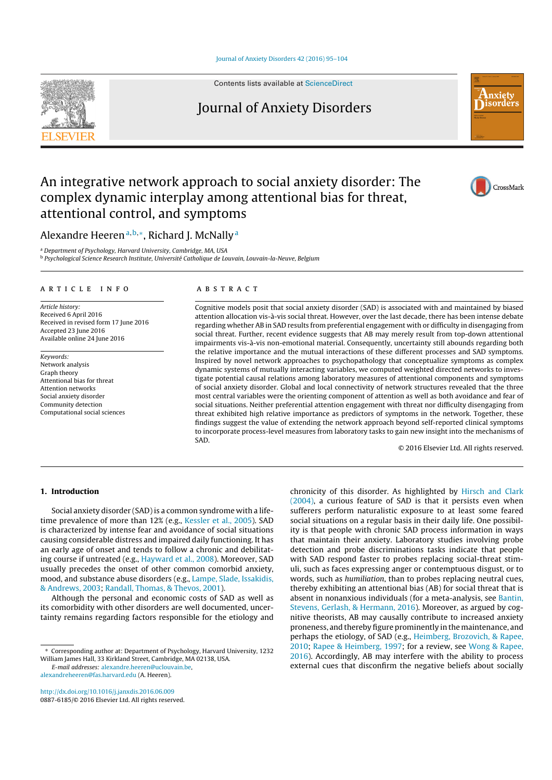Journal of Anxiety Disorders 42 (2016) 95–104



Contents lists available at ScienceDirect

# Journal of Anxiety Disorders



CrossMark

# An integrative network approach to social anxiety disorder: The complex dynamic interplay among attentional bias for threat, attentional control, and symptoms

Alexandre Heeren<sup>a, b,∗</sup>, Richard J. McNally<sup>a</sup>

<sup>a</sup> Department of Psychology, Harvard University, Cambridge, MA, USA

<sup>b</sup> Psychological Science Research Institute, Université Catholique de Louvain, Louvain-la-Neuve, Belgium

# a r t i c l e i n f o

Article history: Received 6 April 2016 Received in revised form 17 June 2016 Accepted 23 June 2016 Available online 24 June 2016

Keywords: Network analysis Graph theory Attentional bias for threat Attention networks Social anxiety disorder Community detection Computational social sciences

# A B S T R A C T

Cognitive models posit that social anxiety disorder (SAD) is associated with and maintained by biased attention allocation vis-à-vis social threat. However, over the last decade, there has been intense debate regarding whether AB in SAD results from preferential engagement with or difficulty in disengaging from social threat. Further, recent evidence suggests that AB may merely result from top-down attentional impairments vis-à-vis non-emotional material. Consequently, uncertainty still abounds regarding both the relative importance and the mutual interactions of these different processes and SAD symptoms. Inspired by novel network approaches to psychopathology that conceptualize symptoms as complex dynamic systems of mutually interacting variables, we computed weighted directed networks to investigate potential causal relations among laboratory measures of attentional components and symptoms of social anxiety disorder. Global and local connectivity of network structures revealed that the three most central variables were the orienting component of attention as well as both avoidance and fear of social situations. Neither preferential attention engagement with threat nor difficulty disengaging from threat exhibited high relative importance as predictors of symptoms in the network. Together, these findings suggest the value of extending the network approach beyond self-reported clinical symptoms to incorporate process-level measures from laboratory tasks to gain new insight into the mechanisms of SAD.

© 2016 Elsevier Ltd. All rights reserved.

# 1. Introduction

Social anxiety disorder (SAD) is a common syndrome with a lifetime prevalence of more than 12% (e.g., Kessler et al., 2005). SAD is characterized by intense fear and avoidance of social situations causing considerable distress and impaired daily functioning. It has an early age of onset and tends to follow a chronic and debilitating course if untreated (e.g., Hayward et al., 2008). Moreover, SAD usually precedes the onset of other common comorbid anxiety, mood, and substance abuse disorders (e.g., Lampe, Slade, Issakidis, & Andrews, 2003; Randall, Thomas, & Thevos, 2001).

Although the personal and economic costs of SAD as well as its comorbidity with other disorders are well documented, uncertainty remains regarding factors responsible for the etiology and

∗ Corresponding author at: Department of Psychology, Harvard University, 1232 William James Hall, 33 Kirkland Street, Cambridge, MA 02138, USA.

E-mail addresses: alexandre.heeren@uclouvain.be, alexandreheeren@fas.harvard.edu (A. Heeren).

chronicity of this disorder. As highlighted by Hirsch and Clark (2004), a curious feature of SAD is that it persists even when sufferers perform naturalistic exposure to at least some feared social situations on a regular basis in their daily life. One possibility is that people with chronic SAD process information in ways that maintain their anxiety. Laboratory studies involving probe detection and probe discriminations tasks indicate that people with SAD respond faster to probes replacing social-threat stimuli, such as faces expressing anger or contemptuous disgust, or to words, such as humiliation, than to probes replacing neutral cues, thereby exhibiting an attentional bias (AB) for social threat that is absent in nonanxious individuals (for a meta-analysis, see Bantin, Stevens, Gerlash, & Hermann, 2016). Moreover, as argued by cognitive theorists, AB may causally contribute to increased anxiety proneness, and thereby figure prominently in the maintenance, and perhaps the etiology, of SAD (e.g., Heimberg, Brozovich, & Rapee, 2010; Rapee & Heimberg, 1997; for a review, see Wong & Rapee, 2016). Accordingly, AB may interfere with the ability to process external cues that disconfirm the negative beliefs about socially

http://dx.doi.org/10.1016/j.janxdis.2016.06.009 0887-6185/© 2016 Elsevier Ltd. All rights reserved.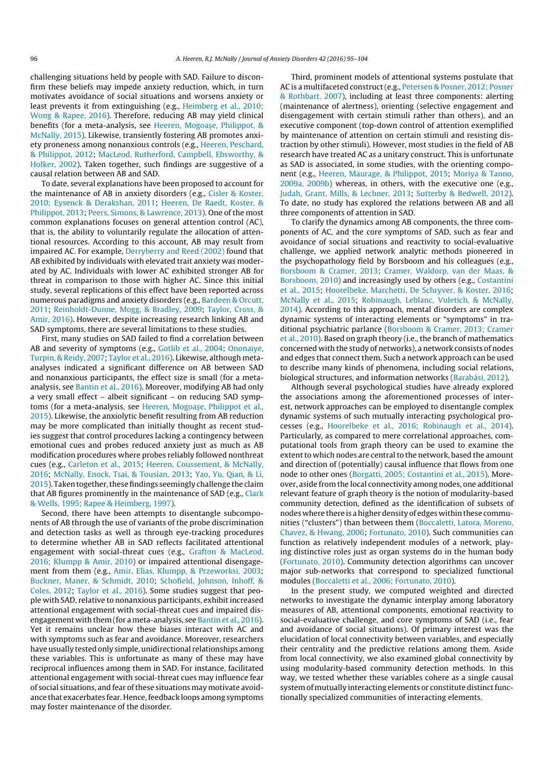challenging situations held by people with SAD. Failure to disconfirm these beliefs may impede anxiety reduction, which, in turn motivates avoidance of social situations and worsens anxiety or least prevents it from extinguishing (e.g., Heimberg et al., 2010; Wong & Rapee, 2016). Therefore, reducing AB may yield clinical benefits (for a meta-analysis, see Heeren, Mogoașe, Philippot, & McNally, 2015). Likewise, transiently fostering AB promotes anxiety proneness among nonanxious controls (e.g., Heeren, Peschard, & Philippot, 2012; MacLeod, Rutherford, Campbell, Ebsworthy, & Holker, 2002). Taken together, such findings are suggestive of a causal relation between AB and SAD.

To date, several explanations have been proposed to account for the maintenance of AB in anxiety disorders (e.g., Cisler & Koster, 2010; Eysenck & Derakshan, 2011; Heeren, De Raedt, Koster, & Philippot, 2013; Peers, Simons, & Lawrence, 2013). One of the most common explanations focuses on general attention control (AC), that is, the ability to voluntarily regulate the allocation of attentional resources. According to this account, AB may result from impaired AC. For example, Derryberry and Reed (2002) found that AB exhibited by individuals with elevated trait anxiety was moderated by AC. Individuals with lower AC exhibited stronger AB for threat in comparison to those with higher AC. Since this initial study, several replications of this effect have been reported across numerous paradigms and anxiety disorders (e.g., Bardeen & Orcutt, 2011; Reinholdt-Dunne, Mogg, & Bradley, 2009; Taylor, Cross, & Amir, 2016). However, despite increasing research linking AB and SAD symptoms, there are several limitations to these studies.

First, many studies on SAD failed to find a correlation between AB and severity of symptoms (e.g., Gotlib et al., 2004; Ononaiye, Turpin, & Reidy, 2007; Taylor et al., 2016). Likewise, although metaanalyses indicated a significant difference on AB between SAD and nonanxious participants, the effect size is small (for a metaanalysis, see Bantin et al., 2016). Moreover, modifying AB had only a very small effect – albeit significant – on reducing SAD symptoms (for a meta-analysis, see Heeren, Mogoașe, Philippot et al., 2015). Likewise, the anxiolytic benefit resulting from AB reduction may be more complicated than initially thought as recent studies suggest that control procedures lacking a contingency between emotional cues and probes reduced anxiety just as much as AB modification procedures where probes reliably followed nonthreat cues (e.g., Carleton et al., 2015; Heeren, Coussement, & McNally, 2016; McNally, Enock, Tsai, & Tousian, 2013; Yao, Yu, Qian, & Li, 2015). Taken together, these findings seemingly challenge the claim that AB figures prominently in the maintenance of SAD (e.g., Clark & Wells, 1995; Rapee & Heimberg, 1997).

Second, there have been attempts to disentangle subcomponents of AB through the use of variants of the probe discrimination and detection tasks as well as through eye-tracking procedures to determine whether AB in SAD reflects facilitated attentional engagement with social-threat cues (e.g., Grafton & MacLeod, 2016; Klumpp & Amir, 2010) or impaired attentional disengagement from them (e.g., Amir, Elias, Klumpp, & Przeworksi, 2003; Buckner, Maner, & Schmidt, 2010; Schofield, Johnson, Inhoff, & Coles, 2012; Taylor et al., 2016). Some studies suggest that people with SAD, relative to nonanxious participants, exhibit increased attentional engagement with social-threat cues and impaired disengagement with them (for a meta-analysis, see Bantin et al., 2016). Yet it remains unclear how these biases interact with AC and with symptoms such as fear and avoidance. Moreover, researchers have usually tested only simple, unidirectional relationships among these variables. This is unfortunate as many of these may have reciprocal influences among them in SAD. For instance, facilitated attentional engagement with social-threat cues may influence fear of social situations, and fear of these situations may motivate avoidance that exacerbates fear. Hence, feedback loops among symptoms may foster maintenance of the disorder.

Third, prominent models of attentional systems postulate that AC is a multifaceted construct(e.g., Petersen & Posner, 2012; Posner & Rothbart, 2007), including at least three components: alerting (maintenance of alertness), orienting (selective engagement and disengagement with certain stimuli rather than others), and an executive component (top-down control of attention exemplified by maintenance of attention on certain stimuli and resisting distraction by other stimuli). However, most studies in the field of AB research have treated AC as a unitary construct. This is unfortunate as SAD is associated, in some studies, with the orienting component (e.g., Heeren, Maurage, & Philippot, 2015; Moriya & Tanno, 2009a, 2009b) whereas, in others, with the executive one (e.g., Judah, Grant, Mills, & Lechner, 2013; Sutterby & Bedwell, 2012). To date, no study has explored the relations between AB and all three components of attention in SAD.

To clarify the dynamics among AB components, the three components of AC, and the core symptoms of SAD, such as fear and avoidance of social situations and reactivity to social-evaluative challenge, we applied network analytic methods pioneered in the psychopathology field by Borsboom and his colleagues (e.g., Borsboom & Cramer, 2013; Cramer, Waldorp, van der Maas, & Borsboom, 2010) and increasingly used by others (e.g., Costantini et al., 2015; Hoorelbeke, Marchetti, De Schryver, & Koster, 2016; McNally et al., 2015; Robinaugh, Leblanc, Vuletich, & McNally, 2014). According to this approach, mental disorders are complex dynamic systems of interacting elements or "symptoms" in traditional psychiatric parlance (Borsboom & Cramer, 2013; Cramer et al., 2010). Based on graph theory (i.e., the branch of mathematics concerned with the study of networks), a network consists of nodes and edges that connect them. Such a network approach can be used to describe many kinds of phenomena, including social relations, biological structures, and information networks (Barabási, 2012).

Although several psychological studies have already explored the associations among the aforementioned processes of interest, network approaches can be employed to disentangle complex dynamic systems of such mutually interacting psychological processes (e.g., Hoorelbeke et al., 2016; Robinaugh et al., 2014). Particularly, as compared to mere correlational approaches, computational tools from graph theory can be used to examine the extent to which nodes are central to the network, based the amount and direction of (potentially) causal influence that flows from one node to other ones (Borgatti, 2005; Costantini et al., 2015). Moreover, aside from the local connectivity among nodes, one additional relevant feature of graph theory is the notion of modularity-based community detection, defined as the identification of subsets of nodes where there is a higher density of edges within these communities ("clusters") than between them (Boccaletti, Latora, Moreno, Chavez, & Hwang, 2006; Fortunato, 2010). Such communities can function as relatively independent modules of a network, playing distinctive roles just as organ systems do in the human body (Fortunato, 2010). Community detection algorithms can uncover major sub-networks that correspond to specialized functional modules (Boccaletti et al., 2006; Fortunato, 2010).

In the present study, we computed weighted and directed networks to investigate the dynamic interplay among laboratory measures of AB, attentional components, emotional reactivity to social-evaluative challenge, and core symptoms of SAD (i.e., fear and avoidance of social situations). Of primary interest was the elucidation of local connectivity between variables, and especially their centrality and the predictive relations among them. Aside from local connectivity, we also examined global connectivity by using modularity-based community detection methods. In this way, we tested whether these variables cohere as a single causal system of mutually interacting elements or constitute distinct functionally specialized communities of interacting elements.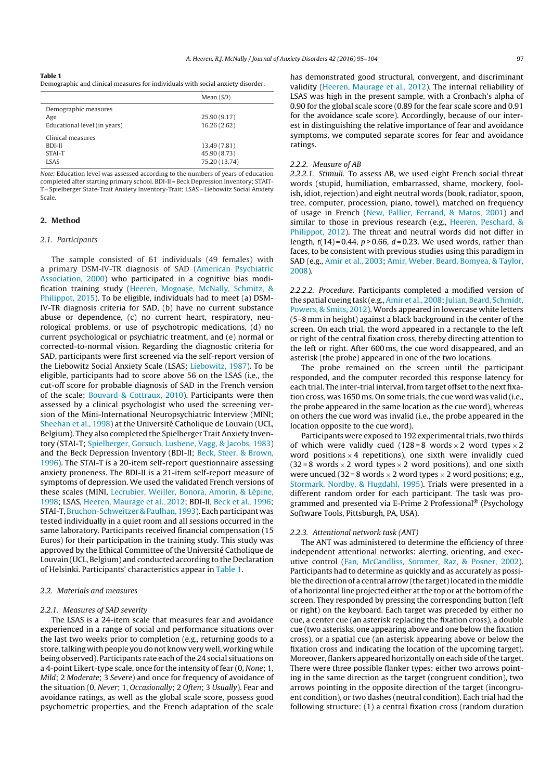|                                                   | Mean $(SD)$   |
|---------------------------------------------------|---------------|
| Demographic measures<br>Age                       | 25.90 (9.17)  |
| Educational level (in years)<br>Clinical measures | 16.26(2.62)   |
| BDI-II                                            | 13.49 (7.81)  |
| STAI-T                                            | 45.90 (8.73)  |
| <b>LSAS</b>                                       | 75.20 (13.74) |

Note: Education level was assessed according to the numbers of years of education completed after starting primary school. BDI-II = Beck Depression Inventory; STAIT-T = Spielberger State-Trait Anxiety Inventory-Trait; LSAS = Liebowitz Social Anxiety Scale.

# 2. Method

#### 2.1. Participants

The sample consisted of 61 individuals (49 females) with a primary DSM-IV-TR diagnosis of SAD (American Psychiatric Association, 2000) who participated in a cognitive bias modification training study (Heeren, Mogoase, McNally, Schmitz, & Philippot, 2015). To be eligible, individuals had to meet (a) DSM-IV-TR diagnosis criteria for SAD, (b) have no current substance abuse or dependence, (c) no current heart, respiratory, neurological problems, or use of psychotropic medications, (d) no current psychological or psychiatric treatment, and (e) normal or corrected-to-normal vision. Regarding the diagnostic criteria for SAD, participants were first screened via the self-report version of the Liebowitz Social Anxiety Scale (LSAS; Liebowitz, 1987). To be eligible, participants had to score above 56 on the LSAS (i.e., the cut-off score for probable diagnosis of SAD in the French version of the scale; Bouvard & Cottraux, 2010). Participants were then assessed by a clinical psychologist who used the screening version of the Mini-International Neuropsychiatric Interview (MINI; Sheehan et al., 1998) at the Université Catholique de Louvain (UCL, Belgium). They also completed the Spielberger Trait Anxiety Inventory (STAI-T; Spielberger, Gorsuch, Lushene, Vagg, & Jacobs, 1983) and the Beck Depression Inventory (BDI-II; Beck, Steer, & Brown, 1996). The STAI-T is a 20-item self-report questionnaire assessing anxiety proneness. The BDI-II is a 21-item self-report measure of symptoms of depression. We used the validated French versions of these scales (MINI, Lecrubier, Weiller, Bonora, Amorin, & Lépine, 1998; LSAS, Heeren, Maurage et al., 2012; BDI-II, Beck et al., 1996; STAI-T, Bruchon-Schweitzer & Paulhan, 1993). Each participant was tested individually in a quiet room and all sessions occurred in the same laboratory. Participants received financial compensation (15 Euros) for their participation in the training study. This study was approved by the Ethical Committee of the Université Catholique de Louvain (UCL, Belgium) and conducted according to the Declaration of Helsinki. Participants' characteristics appear in Table 1.

### 2.2. Materials and measures

#### 2.2.1. Measures of SAD severity

The LSAS is a 24-item scale that measures fear and avoidance experienced in a range of social and performance situations over the last two weeks prior to completion (e.g., returning goods to a store, talking with people you do not know very well, working while being observed). Participants rate each ofthe 24 social situations on a 4-point Likert-type scale, once for the intensity of fear (0, None; 1, Mild; 2 Moderate; 3 Severe) and once for frequency of avoidance of the situation (0, Never; 1, Occasionally; 2 Often; 3 Usually). Fear and avoidance ratings, as well as the global scale score, possess good psychometric properties, and the French adaptation of the scale

has demonstrated good structural, convergent, and discriminant validity (Heeren, Maurage et al., 2012). The internal reliability of LSAS was high in the present sample, with a Cronbach's alpha of 0.90 for the global scale score (0.89 for the fear scale score and 0.91 for the avoidance scale score). Accordingly, because of our interest in distinguishing the relative importance of fear and avoidance symptoms, we computed separate scores for fear and avoidance ratings.

# 2.2.2. Measure of AB

2.2.2.1. Stimuli. To assess AB, we used eight French social threat words (stupid, humiliation, embarrassed, shame, mockery, foolish, idiot, rejection) and eight neutral words (book, radiator, spoon, tree, computer, procession, piano, towel), matched on frequency of usage in French (New, Pallier, Ferrand, & Matos, 2001) and similar to those in previous research (e.g., Heeren, Peschard, & Philippot, 2012). The threat and neutral words did not differ in length,  $t(14) = 0.44$ ,  $p > 0.66$ ,  $d = 0.23$ . We used words, rather than faces, to be consistent with previous studies using this paradigm in SAD (e.g., Amir et al., 2003; Amir, Weber, Beard, Bomyea, & Taylor, 2008).

2.2.2.2. Procedure. Participants completed a modified version of the spatial cueing task (e.g., Amir et al., 2008; Julian, Beard, Schmidt, Powers, & Smits, 2012). Words appeared in lowercase white letters (5–8 mm in height) against a black background in the center of the screen. On each trial, the word appeared in a rectangle to the left or right of the central fixation cross, thereby directing attention to the left or right. After 600 ms, the cue word disappeared, and an asterisk (the probe) appeared in one of the two locations.

The probe remained on the screen until the participant responded, and the computer recorded this response latency for each trial. The inter-trial interval, from target offset to the next fixation cross, was 1650 ms. On some trials, the cue word was valid (i.e., the probe appeared in the same location as the cue word), whereas on others the cue word was invalid (i.e., the probe appeared in the location opposite to the cue word).

Participants were exposed to 192 experimental trials, two thirds of which were validly cued (128 = 8 words  $\times$  2 word types  $\times$  2 word positions  $\times$  4 repetitions), one sixth were invalidly cued  $(32 = 8$  words  $\times$  2 word types  $\times$  2 word positions), and one sixth were uncued (32 = 8 words  $\times$  2 word types  $\times$  2 word positions; e.g., Stormark, Nordby, & Hugdahl, 1995). Trials were presented in a different random order for each participant. The task was programmed and presented via E-Prime 2 Professional® (Psychology Software Tools, Pittsburgh, PA, USA).

## 2.2.3. Attentional network task (ANT)

The ANT was administered to determine the efficiency of three independent attentional networks: alerting, orienting, and executive control (Fan, McCandliss, Sommer, Raz, & Posner, 2002). Participants had to determine as quickly and as accurately as possible the direction of a central arrow (the target)located in the middle of a horizontal line projected either at the top or at the bottom of the screen. They responded by pressing the corresponding button (left or right) on the keyboard. Each target was preceded by either no cue, a center cue (an asterisk replacing the fixation cross), a double cue (two asterisks, one appearing above and one below the fixation cross), or a spatial cue (an asterisk appearing above or below the fixation cross and indicating the location of the upcoming target). Moreover, flankers appeared horizontally on each side of the target. There were three possible flanker types: either two arrows pointing in the same direction as the target (congruent condition), two arrows pointing in the opposite direction of the target (incongruent condition), or two dashes (neutral condition). Each trial had the following structure: (1) a central fixation cross (random duration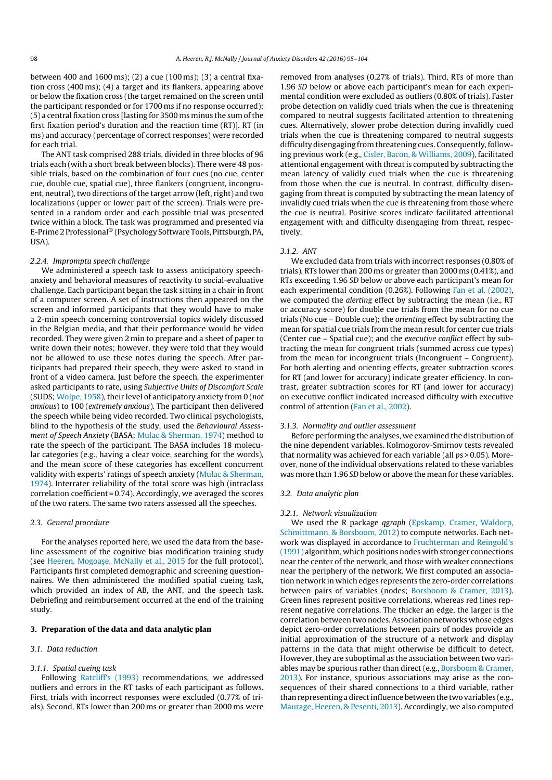between 400 and 1600 ms); (2) a cue (100 ms); (3) a central fixation cross (400 ms); (4) a target and its flankers, appearing above or below the fixation cross (the target remained on the screen until the participant responded or for 1700 ms if no response occurred); (5) a central fixation cross [lasting for 3500 ms minus the sum ofthe first fixation period's duration and the reaction time (RT)]. RT (in ms) and accuracy (percentage of correct responses) were recorded for each trial.

The ANT task comprised 288 trials, divided in three blocks of 96 trials each (with a short break between blocks). There were 48 possible trials, based on the combination of four cues (no cue, center cue, double cue, spatial cue), three flankers (congruent, incongruent, neutral), two directions of the target arrow (left, right) and two localizations (upper or lower part of the screen). Trials were presented in a random order and each possible trial was presented twice within a block. The task was programmed and presented via E-Prime 2 Professional® (Psychology Software Tools, Pittsburgh, PA, USA).

#### 2.2.4. Impromptu speech challenge

We administered a speech task to assess anticipatory speechanxiety and behavioral measures of reactivity to social-evaluative challenge. Each participant began the task sitting in a chair in front of a computer screen. A set of instructions then appeared on the screen and informed participants that they would have to make a 2-min speech concerning controversial topics widely discussed in the Belgian media, and that their performance would be video recorded. They were given 2 min to prepare and a sheet of paper to write down their notes; however, they were told that they would not be allowed to use these notes during the speech. After participants had prepared their speech, they were asked to stand in front of a video camera. Just before the speech, the experimenter asked participants to rate, using Subjective Units of Discomfort Scale (SUDS; Wolpe, 1958), their level of anticipatory anxiety from 0 (not anxious) to 100 (extremely anxious). The participant then delivered the speech while being video recorded. Two clinical psychologists, blind to the hypothesis of the study, used the Behavioural Assessment of Speech Anxiety (BASA; Mulac & Sherman, 1974) method to rate the speech of the participant. The BASA includes 18 molecular categories (e.g., having a clear voice, searching for the words), and the mean score of these categories has excellent concurrent validity with experts' ratings of speech anxiety (Mulac & Sherman, 1974). Interrater reliability of the total score was high (intraclass correlation coefficient =  $0.74$ ). Accordingly, we averaged the scores of the two raters. The same two raters assessed all the speeches.

## 2.3. General procedure

For the analyses reported here, we used the data from the baseline assessment of the cognitive bias modification training study (see Heeren, Mogoașe, McNally et al., 2015 for the full protocol). Participants first completed demographic and screening questionnaires. We then administered the modified spatial cueing task, which provided an index of AB, the ANT, and the speech task. Debriefing and reimbursement occurred at the end of the training study.

# 3. Preparation of the data and data analytic plan

#### 3.1. Data reduction

# 3.1.1. Spatial cueing task

Following Ratcliff's (1993) recommendations, we addressed outliers and errors in the RT tasks of each participant as follows. First, trials with incorrect responses were excluded (0.77% of trials). Second, RTs lower than 200 ms or greater than 2000 ms were removed from analyses (0.27% of trials). Third, RTs of more than 1.96 SD below or above each participant's mean for each experimental condition were excluded as outliers (0.80% of trials). Faster probe detection on validly cued trials when the cue is threatening compared to neutral suggests facilitated attention to threatening cues. Alternatively, slower probe detection during invalidly cued trials when the cue is threatening compared to neutral suggests difficulty disengaging from threatening cues. Consequently, following previous work (e.g., Cisler, Bacon, & Williams, 2009), facilitated attentional engagement with threatis computed by subtracting the mean latency of validly cued trials when the cue is threatening from those when the cue is neutral. In contrast, difficulty disengaging from threat is computed by subtracting the mean latency of invalidly cued trials when the cue is threatening from those where the cue is neutral. Positive scores indicate facilitated attentional engagement with and difficulty disengaging from threat, respectively.

## 3.1.2. ANT

We excluded data from trials with incorrect responses (0.80% of trials), RTs lower than 200 ms or greater than 2000 ms (0.41%), and RTs exceeding 1.96 SD below or above each participant's mean for each experimental condition (0.26%). Following Fan et al. (2002), we computed the alerting effect by subtracting the mean (i.e., RT or accuracy score) for double cue trials from the mean for no cue trials (No cue – Double cue); the orienting effect by subtracting the mean for spatial cue trials from the mean result for center cue trials (Center cue – Spatial cue); and the executive conflict effect by subtracting the mean for congruent trials (summed across cue types) from the mean for incongruent trials (Incongruent – Congruent). For both alerting and orienting effects, greater subtraction scores for RT (and lower for accuracy) indicate greater efficiency. In contrast, greater subtraction scores for RT (and lower for accuracy) on executive conflict indicated increased difficulty with executive control of attention (Fan et al., 2002).

### 3.1.3. Normality and outlier assessment

Before performing the analyses, we examined the distribution of the nine dependent variables. Kolmogorov-Smirnov tests revealed that normality was achieved for each variable (all ps > 0.05). Moreover, none of the individual observations related to these variables was more than 1.96 SD below or above the mean for these variables.

## 3.2. Data analytic plan

#### 3.2.1. Network visualization

We used the R package qgraph (Epskamp, Cramer, Waldorp, Schmittmann, & Borsboom, 2012) to compute networks. Each network was displayed in accordance to Fruchterman and Reingold's (1991) algorithm, which positions nodes with stronger connections near the center of the network, and those with weaker connections near the periphery of the network. We first computed an association network in which edges represents the zero-order correlations between pairs of variables (nodes; Borsboom & Cramer, 2013). Green lines represent positive correlations, whereas red lines represent negative correlations. The thicker an edge, the larger is the correlation between two nodes. Association networks whose edges depict zero-order correlations between pairs of nodes provide an initial approximation of the structure of a network and display patterns in the data that might otherwise be difficult to detect. However, they are suboptimal as the association between two variables may be spurious rather than direct (e.g., Borsboom & Cramer, 2013). For instance, spurious associations may arise as the consequences of their shared connections to a third variable, rather than representing a direct influence between the two variables (e.g., Maurage, Heeren, & Pesenti, 2013). Accordingly, we also computed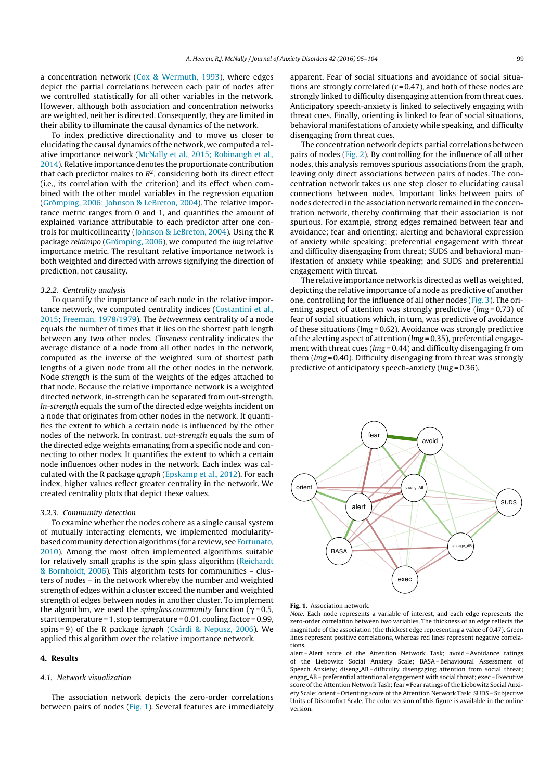a concentration network (Cox & Wermuth, 1993), where edges depict the partial correlations between each pair of nodes after we controlled statistically for all other variables in the network. However, although both association and concentration networks are weighted, neither is directed. Consequently, they are limited in their ability to illuminate the causal dynamics of the network.

To index predictive directionality and to move us closer to elucidating the causal dynamics of the network, we computed a relative importance network (McNally et al., 2015; Robinaugh et al., 2014). Relative importance denotes the proportionate contribution that each predictor makes to  $R^2$ , considering both its direct effect (i.e., its correlation with the criterion) and its effect when combined with the other model variables in the regression equation (Grömping, 2006; Johnson & LeBreton, 2004). The relative importance metric ranges from 0 and 1, and quantifies the amount of explained variance attributable to each predictor after one controls for multicollinearity (Johnson & LeBreton, 2004). Using the R package relaimpo (Grömping, 2006), we computed the lmg relative importance metric. The resultant relative importance network is both weighted and directed with arrows signifying the direction of prediction, not causality.

# 3.2.2. Centrality analysis

To quantify the importance of each node in the relative importance network, we computed centrality indices (Costantini et al., 2015; Freeman, 1978/1979). The betweenness centrality of a node equals the number of times that it lies on the shortest path length between any two other nodes. Closeness centrality indicates the average distance of a node from all other nodes in the network, computed as the inverse of the weighted sum of shortest path lengths of a given node from all the other nodes in the network. Node strength is the sum of the weights of the edges attached to that node. Because the relative importance network is a weighted directed network, in-strength can be separated from out-strength. In-strength equals the sum of the directed edge weights incident on a node that originates from other nodes in the network. It quantifies the extent to which a certain node is influenced by the other nodes of the network. In contrast, out-strength equals the sum of the directed edge weights emanating from a specific node and connecting to other nodes. It quantifies the extent to which a certain node influences other nodes in the network. Each index was calculated with the R package qgraph (Epskamp et al., 2012). For each index, higher values reflect greater centrality in the network. We created centrality plots that depict these values.

#### 3.2.3. Community detection

To examine whether the nodes cohere as a single causal system of mutually interacting elements, we implemented modularitybased community detection algorithms (for a review, see Fortunato, 2010). Among the most often implemented algorithms suitable for relatively small graphs is the spin glass algorithm (Reichardt & Bornholdt, 2006). This algorithm tests for communities – clusters of nodes – in the network whereby the number and weighted strength of edges within a cluster exceed the number and weighted strength of edges between nodes in another cluster. To implement the algorithm, we used the *spinglass.community* function ( $\gamma$  = 0.5, start temperature = 1, stop temperature =  $0.01$ , cooling factor =  $0.99$ , spins = 9) of the R package igraph (Csárdi & Nepusz, 2006). We applied this algorithm over the relative importance network.

## 4. Results

#### 4.1. Network visualization

The association network depicts the zero-order correlations between pairs of nodes (Fig. 1). Several features are immediately

apparent. Fear of social situations and avoidance of social situations are strongly correlated ( $r = 0.47$ ), and both of these nodes are strongly linked to difficulty disengaging attention from threat cues. Anticipatory speech-anxiety is linked to selectively engaging with threat cues. Finally, orienting is linked to fear of social situations, behavioral manifestations of anxiety while speaking, and difficulty disengaging from threat cues.

The concentration network depicts partial correlations between pairs of nodes (Fig. 2). By controlling for the influence of all other nodes, this analysis removes spurious associations from the graph, leaving only direct associations between pairs of nodes. The concentration network takes us one step closer to elucidating causal connections between nodes. Important links between pairs of nodes detected in the association network remained in the concentration network, thereby confirming that their association is not spurious. For example, strong edges remained between fear and avoidance; fear and orienting; alerting and behavioral expression of anxiety while speaking; preferential engagement with threat and difficulty disengaging from threat; SUDS and behavioral manifestation of anxiety while speaking; and SUDS and preferential engagement with threat.

The relative importance network is directed as well as weighted, depicting the relative importance of a node as predictive of another one, controlling for the influence of all other nodes (Fig. 3). The orienting aspect of attention was strongly predictive ( $lmg = 0.73$ ) of fear of social situations which, in turn, was predictive of avoidance of these situations (lmg = 0.62). Avoidance was strongly predictive of the alerting aspect of attention (lmg = 0.35), preferential engagement with threat cues (*lmg* = 0.44) and difficulty disengaging fr om them (lmg = 0.40). Difficulty disengaging from threat was strongly predictive of anticipatory speech-anxiety (lmg = 0.36).





Note: Each node represents a variable of interest, and each edge represents the zero-order correlation between two variables. The thickness of an edge reflects the magnitude of the association (the thickest edge representing a value of 0.47). Green lines represent positive correlations, whereas red lines represent negative correlations.

alert =Alert score of the Attention Network Task; avoid =Avoidance ratings of the Liebowitz Social Anxiety Scale; BASA= Behavioural Assessment of Speech Anxiety; diseng AB = difficulty disengaging attention from social threat; engag AB = preferential attentional engagement with social threat; exec = Executive score of the Attention Network Task; fear = Fear ratings of the Liebowitz Social Anxiety Scale; orient = Orienting score of the Attention Network Task; SUDS = Subjective Units of Discomfort Scale. The color version of this figure is available in the online version.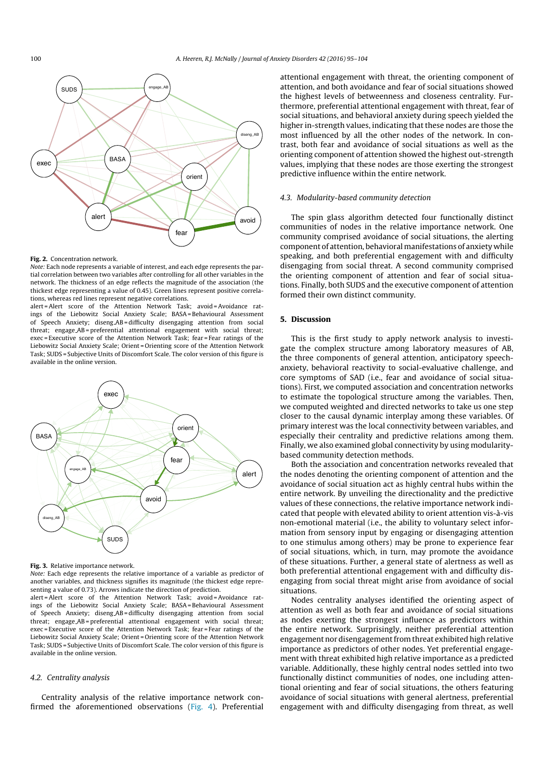

#### Fig. 2. Concentration network.

Note: Each node represents a variable of interest, and each edge represents the partial correlation between two variables after controlling for all other variables in the network. The thickness of an edge reflects the magnitude of the association (the thickest edge representing a value of 0.45). Green lines represent positive correlations, whereas red lines represent negative correlations.

alert = Alert score of the Attention Network Task; avoid = Avoidance ratings of the Liebowitz Social Anxiety Scale; BASA= Behavioural Assessment of Speech Anxiety; diseng AB = difficulty disengaging attention from social threat; engage AB = preferential attentional engagement with social threat; exec = Executive score of the Attention Network Task; fear = Fear ratings of the Liebowitz Social Anxiety Scale; Orient = Orienting score of the Attention Network Task; SUDS = Subjective Units of Discomfort Scale. The color version of this figure is available in the online version.



Fig. 3. Relative importance network.

Note: Each edge represents the relative importance of a variable as predictor of another variables, and thickness signifies its magnitude (the thickest edge representing a value of 0.73). Arrows indicate the direction of prediction.

alert =Alert score of the Attention Network Task; avoid =Avoidance ratings of the Liebowitz Social Anxiety Scale; BASA= Behavioural Assessment of Speech Anxiety; diseng AB = difficulty disengaging attention from social threat; engage AB = preferential attentional engagement with social threat; exec = Executive score of the Attention Network Task; fear = Fear ratings of the Liebowitz Social Anxiety Scale; Orient = Orienting score of the Attention Network Task; SUDS = Subjective Units of Discomfort Scale. The color version of this figure is available in the online version.

### 4.2. Centrality analysis

Centrality analysis of the relative importance network confirmed the aforementioned observations (Fig. 4). Preferential attentional engagement with threat, the orienting component of attention, and both avoidance and fear of social situations showed the highest levels of betweenness and closeness centrality. Furthermore, preferential attentional engagement with threat, fear of social situations, and behavioral anxiety during speech yielded the higher in-strength values, indicating that these nodes are those the most influenced by all the other nodes of the network. In contrast, both fear and avoidance of social situations as well as the orienting component of attention showed the highest out-strength values, implying that these nodes are those exerting the strongest predictive influence within the entire network.

# 4.3. Modularity-based community detection

The spin glass algorithm detected four functionally distinct communities of nodes in the relative importance network. One community comprised avoidance of social situations, the alerting component of attention, behavioral manifestations of anxiety while speaking, and both preferential engagement with and difficulty disengaging from social threat. A second community comprised the orienting component of attention and fear of social situations. Finally, both SUDS and the executive component of attention formed their own distinct community.

# 5. Discussion

This is the first study to apply network analysis to investigate the complex structure among laboratory measures of AB, the three components of general attention, anticipatory speechanxiety, behavioral reactivity to social-evaluative challenge, and core symptoms of SAD (i.e., fear and avoidance of social situations). First, we computed association and concentration networks to estimate the topological structure among the variables. Then, we computed weighted and directed networks to take us one step closer to the causal dynamic interplay among these variables. Of primary interest was the local connectivity between variables, and especially their centrality and predictive relations among them. Finally, we also examined global connectivity by using modularitybased community detection methods.

Both the association and concentration networks revealed that the nodes denoting the orienting component of attention and the avoidance of social situation act as highly central hubs within the entire network. By unveiling the directionality and the predictive values of these connections, the relative importance network indicated that people with elevated ability to orient attention vis-à-vis non-emotional material (i.e., the ability to voluntary select information from sensory input by engaging or disengaging attention to one stimulus among others) may be prone to experience fear of social situations, which, in turn, may promote the avoidance of these situations. Further, a general state of alertness as well as both preferential attentional engagement with and difficulty disengaging from social threat might arise from avoidance of social situations.

Nodes centrality analyses identified the orienting aspect of attention as well as both fear and avoidance of social situations as nodes exerting the strongest influence as predictors within the entire network. Surprisingly, neither preferential attention engagement nor disengagement from threat exhibited high relative importance as predictors of other nodes. Yet preferential engagement with threat exhibited high relative importance as a predicted variable. Additionally, these highly central nodes settled into two functionally distinct communities of nodes, one including attentional orienting and fear of social situations, the others featuring avoidance of social situations with general alertness, preferential engagement with and difficulty disengaging from threat, as well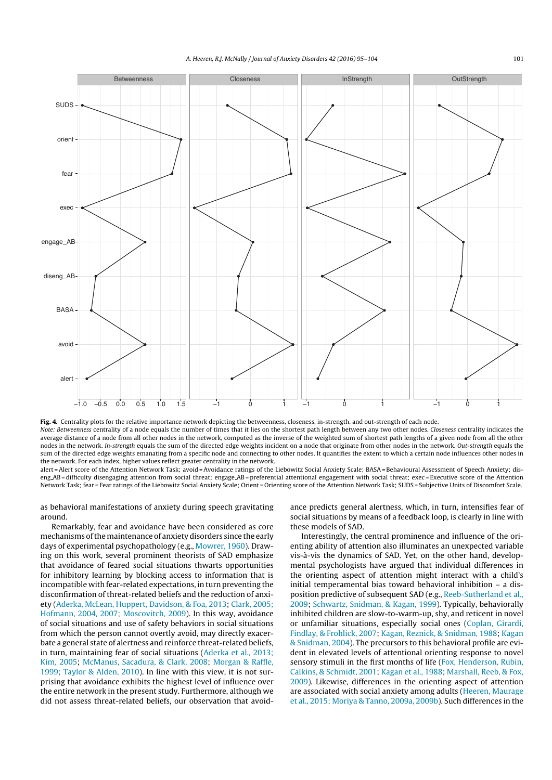

Fig. 4. Centrality plots for the relative importance network depicting the betweenness, closeness, in-strength, and out-strength of each node. Note: Betweenness centrality of a node equals the number of times that it lies on the shortest path length between any two other nodes. Closeness centrality indicates the average distance of a node from all other nodes in the network, computed as the inverse of the weighted sum of shortest path lengths of a given node from all the other nodes in the network. In-strength equals the sum of the directed edge weights incident on a node that originate from other nodes in the network. Out-strength equals the sum of the directed edge weights emanating from a specific node and connecting to other nodes. It quantifies the extent to which a certain node influences other nodes in the network. For each index, higher values reflect greater centrality in the network.

alert = Alert score of the Attention Network Task; avoid = Avoidance ratings of the Liebowitz Social Anxiety Scale; BASA = Behavioural Assessment of Speech Anxiety; diseng AB = difficulty disengaging attention from social threat; engage AB = preferential attentional engagement with social threat; exec = Executive score of the Attention Network Task; fear = Fear ratings of the Liebowitz Social Anxiety Scale; Orient = Orienting score of the Attention Network Task; SUDS = Subjective Units of Discomfort Scale.

as behavioral manifestations of anxiety during speech gravitating around.

Remarkably, fear and avoidance have been considered as core mechanisms ofthe maintenance of anxiety disorders since the early days of experimental psychopathology (e.g., Mowrer, 1960). Drawing on this work, several prominent theorists of SAD emphasize that avoidance of feared social situations thwarts opportunities for inhibitory learning by blocking access to information that is incompatible with fear-related expectations, in turn preventing the disconfirmation of threat-related beliefs and the reduction of anxiety (Aderka, McLean, Huppert, Davidson, & Foa, 2013; Clark, 2005; Hofmann, 2004, 2007; Moscovitch, 2009). In this way, avoidance of social situations and use of safety behaviors in social situations from which the person cannot overtly avoid, may directly exacerbate a general state of alertness and reinforce threat-related beliefs, in turn, maintaining fear of social situations (Aderka et al., 2013; Kim, 2005; McManus, Sacadura, & Clark, 2008; Morgan & Raffle, 1999; Taylor & Alden, 2010). In line with this view, it is not surprising that avoidance exhibits the highest level of influence over the entire network in the present study. Furthermore, although we did not assess threat-related beliefs, our observation that avoidance predicts general alertness, which, in turn, intensifies fear of social situations by means of a feedback loop, is clearly in line with these models of SAD.

Interestingly, the central prominence and influence of the orienting ability of attention also illuminates an unexpected variable vis-à-vis the dynamics of SAD. Yet, on the other hand, developmental psychologists have argued that individual differences in the orienting aspect of attention might interact with a child's initial temperamental bias toward behavioral inhibition – a disposition predictive of subsequent SAD (e.g., Reeb-Sutherland et al., 2009; Schwartz, Snidman, & Kagan, 1999). Typically, behaviorally inhibited children are slow-to-warm-up, shy, and reticent in novel or unfamiliar situations, especially social ones (Coplan, Girardi, Findlay, & Frohlick, 2007; Kagan, Reznick, & Snidman, 1988; Kagan & Snidman, 2004). The precursors to this behavioral profile are evident in elevated levels of attentional orienting response to novel sensory stimuli in the first months of life (Fox, Henderson, Rubin, Calkins, & Schmidt, 2001; Kagan et al., 1988; Marshall, Reeb, & Fox, 2009). Likewise, differences in the orienting aspect of attention are associated with social anxiety among adults (Heeren, Maurage et al., 2015; Moriya & Tanno, 2009a, 2009b). Such differences in the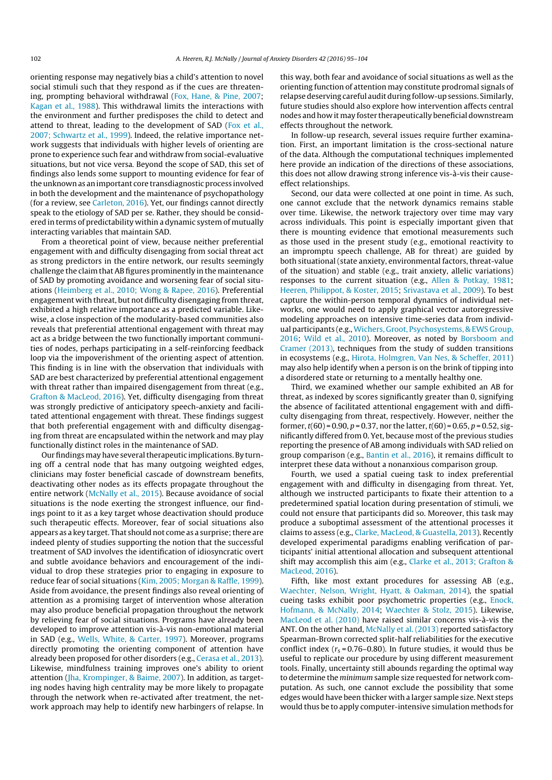orienting response may negatively bias a child's attention to novel social stimuli such that they respond as if the cues are threatening, prompting behavioral withdrawal (Fox, Hane, & Pine, 2007; Kagan et al., 1988). This withdrawal limits the interactions with the environment and further predisposes the child to detect and attend to threat, leading to the development of SAD (Fox et al., 2007; Schwartz et al., 1999). Indeed, the relative importance network suggests that individuals with higher levels of orienting are prone to experience such fear and withdraw from social-evaluative situations, but not vice versa. Beyond the scope of SAD, this set of findings also lends some support to mounting evidence for fear of the unknown as an important core transdiagnostic process involved in both the development and the maintenance of psychopathology (for a review, see Carleton, 2016). Yet, our findings cannot directly speak to the etiology of SAD per se. Rather, they should be considered in terms of predictability within a dynamic system of mutually interacting variables that maintain SAD.

From a theoretical point of view, because neither preferential engagement with and difficulty disengaging from social threat act as strong predictors in the entire network, our results seemingly challenge the claim that AB figures prominently in the maintenance of SAD by promoting avoidance and worsening fear of social situations (Heimberg et al., 2010; Wong & Rapee, 2016). Preferential engagement with threat, but not difficulty disengaging from threat, exhibited a high relative importance as a predicted variable. Likewise, a close inspection of the modularity-based communities also reveals that preferential attentional engagement with threat may act as a bridge between the two functionally important communities of nodes, perhaps participating in a self-reinforcing feedback loop via the impoverishment of the orienting aspect of attention. This finding is in line with the observation that individuals with SAD are best characterized by preferential attentional engagement with threat rather than impaired disengagement from threat (e.g., Grafton & MacLeod, 2016). Yet, difficulty disengaging from threat was strongly predictive of anticipatory speech-anxiety and facilitated attentional engagement with threat. These findings suggest that both preferential engagement with and difficulty disengaging from threat are encapsulated within the network and may play functionally distinct roles in the maintenance of SAD.

Our findings may have several therapeutic implications. By turning off a central node that has many outgoing weighted edges, clinicians may foster beneficial cascade of downstream benefits, deactivating other nodes as its effects propagate throughout the entire network (McNally et al., 2015). Because avoidance of social situations is the node exerting the strongest influence, our findings point to it as a key target whose deactivation should produce such therapeutic effects. Moreover, fear of social situations also appears as a key target. That should not come as a surprise; there are indeed plenty of studies supporting the notion that the successful treatment of SAD involves the identification of idiosyncratic overt and subtle avoidance behaviors and encouragement of the individual to drop these strategies prior to engaging in exposure to reduce fear of social situations (Kim, 2005; Morgan & Raffle, 1999). Aside from avoidance, the present findings also reveal orienting of attention as a promising target of intervention whose alteration may also produce beneficial propagation throughout the network by relieving fear of social situations. Programs have already been developed to improve attention vis-à-vis non-emotional material in SAD (e.g., Wells, White, & Carter, 1997). Moreover, programs directly promoting the orienting component of attention have already been proposed for other disorders (e.g., Cerasa et al., 2013). Likewise, mindfulness training improves one's ability to orient attention (Jha, Krompinger, & Baime, 2007). In addition, as targeting nodes having high centrality may be more likely to propagate through the network when re-activated after treatment, the network approach may help to identify new harbingers of relapse. In this way, both fear and avoidance of social situations as well as the orienting function of attention may constitute prodromal signals of relapse deserving careful audit during follow-up sessions. Similarly, future studies should also explore how intervention affects central nodes and how it may foster therapeutically beneficial downstream effects throughout the network.

In follow-up research, several issues require further examination. First, an important limitation is the cross-sectional nature of the data. Although the computational techniques implemented here provide an indication of the directions of these associations, this does not allow drawing strong inference vis-à-vis their causeeffect relationships.

Second, our data were collected at one point in time. As such, one cannot exclude that the network dynamics remains stable over time. Likewise, the network trajectory over time may vary across individuals. This point is especially important given that there is mounting evidence that emotional measurements such as those used in the present study (e.g., emotional reactivity to an impromptu speech challenge, AB for threat) are guided by both situational (state anxiety, environmental factors, threat-value of the situation) and stable (e.g., trait anxiety, allelic variations) responses to the current situation (e.g., Allen & Potkay, 1981; Heeren, Philippot, & Koster, 2015; Srivastava et al., 2009). To best capture the within-person temporal dynamics of individual networks, one would need to apply graphical vector autoregressive modeling approaches on intensive time-series data from individual participants (e.g.,Wichers, Groot, Psychosystems, & EWS Group, 2016; Wild et al., 2010). Moreover, as noted by Borsboom and Cramer (2013), techniques from the study of sudden transitions in ecosystems (e.g., Hirota, Holmgren, Van Nes, & Scheffer, 2011) may also help identify when a person is on the brink of tipping into a disordered state or returning to a mentally healthy one.

Third, we examined whether our sample exhibited an AB for threat, as indexed by scores significantly greater than 0, signifying the absence of facilitated attentional engagement with and difficulty disengaging from threat, respectively. However, neither the former,  $t(60) = 0.90$ ,  $p = 0.37$ , nor the latter,  $t(60) = 0.65$ ,  $p = 0.52$ , significantly differed from 0. Yet, because most of the previous studies reporting the presence of AB among individuals with SAD relied on group comparison (e.g., Bantin et al., 2016), it remains difficult to interpret these data without a nonanxious comparison group.

Fourth, we used a spatial cueing task to index preferential engagement with and difficulty in disengaging from threat. Yet, although we instructed participants to fixate their attention to a predetermined spatial location during presentation of stimuli, we could not ensure that participants did so. Moreover, this task may produce a suboptimal assessment of the attentional processes it claims to assess (e.g., Clarke, MacLeod, & Guastella, 2013). Recently developed experimental paradigms enabling verification of participants' initial attentional allocation and subsequent attentional shift may accomplish this aim (e.g., Clarke et al., 2013; Grafton & MacLeod, 2016).

Fifth, like most extant procedures for assessing AB (e.g., Waechter, Nelson, Wright, Hyatt, & Oakman, 2014), the spatial cueing tasks exhibit poor psychometric properties (e.g., Enock, Hofmann, & McNally, 2014; Waechter & Stolz, 2015). Likewise, MacLeod et al. (2010) have raised similar concerns vis-à-vis the ANT. On the other hand, McNally et al. (2013) reported satisfactory Spearman-Brown corrected split-half reliabilities for the executive conflict index ( $r_s$  = 0.76–0.80). In future studies, it would thus be useful to replicate our procedure by using different measurement tools. Finally, uncertainty still abounds regarding the optimal way to determine the minimum sample size requested for network computation. As such, one cannot exclude the possibility that some edges would have been thicker with a larger sample size. Next steps would thus be to apply computer-intensive simulation methods for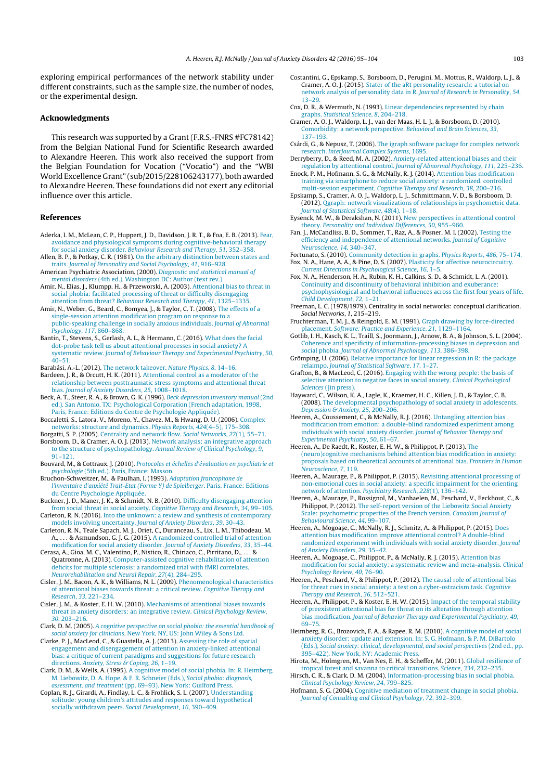exploring empirical performances of the network stability under different constraints, such as the sample size, the number of nodes, or the experimental design.

## Acknowledgments

This research was supported by a Grant (F.R.S.-FNRS #FC78142) from the Belgian National Fund for Scientific Research awarded to Alexandre Heeren. This work also received the support from the Belgian Foundation for Vocation ("Vocatio") and the "WBI World Excellence Grant" (sub/2015/228106243177), both awarded to Alexandre Heeren. These foundations did not exert any editorial influence over this article.

## References

- Aderka, I. M., McLean, C. P., Huppert, J. D., Davidson, J. R. T., & Foa, E. B. (2013). Fear avoidance and physiological symptoms during cognitive-behavioral therapy for social anxiety disorder. Behaviour Research and Therapy, 51, 352–358.
- Allen, B. P., & Potkay, C. R. (1981). On the arbitrary distinction between states and traits. Journal of Personality and Social Psychology, 41, 916–928.
- American Psychiatric Association. (2000). Diagnostic and statistical manual of mental disorders (4th ed.). Washington DC: Author (text rev.).
- Amir, N., Elias, J., Klumpp, H., & Przeworski, A. (2003). Attentional bias to threat in social phobia: facilitated processing of threat or difficulty disengaging attention from threat? Behaviour Research and Therapy, 41, 1325-1335
- Amir, N., Weber, G., Beard, C., Bomyea, J., & Taylor, C. T. (2008). The effects of a single-session attention modification program on response to a public-speaking challenge in socially anxious individuals. Journal of Abnormal Psychology, 117, 860–868.
- Bantin, T., Stevens, S., Gerlash, A. L., & Hermann, C. (2016). What does the facial dot-probe task tell us about attentional processes in social anxiety? A systematic review. Journal of Behaviour Therapy and Experimental Psychiatry, 50,  $40 - 51$
- Barabási, A.-L. (2012). The network takeover. Nature Physics, 8, 14–16.

Bardeen, J. R., & Orcutt, H. K. (2011). Attentional control as a moderator of the relationship between posttraumatic stress symptoms and attentional threat bias. Journal of Anxiety Disorders, 25, 1008–1018.

- Beck, A. T., Steer, R. A., & Brown, G. K. (1996). Beck depression inventory manual (2nd ed.). San Antonio, TX: Psychological Corporation (French adaptation, 1998,
- Paris, France: Editions du Centre de Psychologie Appliquée). Boccaletti, S., Latora, V., Moreno, Y., Chavez, M., & Hwang, D. U. (2006). Complex networks: structure and dynamics. Physics Reports, 424(4–5), 175–308. Borgatti, S. P. (2005). Centrality and network flow. Social Networks, 27(1), 55–71.

Borsboom, D., & Cramer, A. O. J. (2013). Network analysis: an integrative approach to the structure of psychopathology. Annual Review of Clinical Psychology, 9, 91–121.

Bouvard, M., & Cottraux, J. (2010). Protocoles et échelles d'évaluation en psychiatrie et psychologie (5th ed.). Paris, France: Masson.

Bruchon-Schweitzer, M., & Paulhan, I. (1993). Adaptation francophone de l'inventaire d'anxiété Trait-Etat (Forme Y) de Spielberger. Paris, France: Editions du Centre Psychologie Appliquée

Buckner, J. D., Maner, J. K., & Schmidt, N. B. (2010). Difficulty disengaging attention from social threat in social anxiety. Cognitive Therapy and Research, 34, 99–105. Carleton, R. N. (2016). Into the unknown: a review and synthesis of contemporary

models involving uncertainty. Journal of Anxiety Disorders, 39, 30–43. Carleton, R. N., Teale Sapach, M. J., Oriet, C., Duranceau, S., Lix, L. M., Thibodeau, M.

A., . . . & Asmundson, G. J. G. (2015). A randomized controlled trial of attention modification for social anxiety disorder. Journal of Anxiety Disorders, 33, 35–44. Cerasa, A., Gioa, M. C., Valentino, P., Nistico, R., Chiriaco, C., Pirritano, D., . . . &

Quatronne, A. (2013). Computer-assisted cognitive rehabilitation of attention deficits for multiple sclerosis: a randomized trial with fMRI correlates. Neurorehabilitation and Neural Repair, 27(4), 284–295.

Cisler, J. M., Bacon, A. K., & Williams, N. L. (2009). Phenomenological characteristics of attentional biases towards threat: a critical review. Cognitive Therapy and Research, 33, 221–234.

Cisler, J. M., & Koster, E. H. W. (2010). Mechanisms of attentional biases towards threat in anxiety disorders: an integrative review. Clinical Psychology Review, 30, 203–216.

Clark, D. M. (2005). A cognitive perspective on social phobia: the essential handbook of social anxiety for clinicians. New York, NY, US: John Wiley & Sons Ltd.

Clarke, P. J., MacLeod, C., & Guastella, A. J. (2013). Assessing the role of spatial engagement and disengagement of attention in anxiety-linked attentional bias: a critique of current paradigms and suggestions for future research directions. Anxiety, Stress & Coping, 26, 1–19.

Clark, D. M., & Wells, A. (1995). A cognitive model of social phobia. In: R. Heimberg, M. Liebowitz, D. A. Hope, & F. R. Schneier (Eds.), Social phobia: diagnosis, assessment, and treatment (pp. 69–93). New York: Guilford Press.

Coplan, R. J., Girardi, A., Findlay, L. C., & Frohlick, S. L. (2007). Understanding solitude: young children's attitudes and responses toward hypothetical socially withdrawn peers. Social Development, 16, 390–409.

- Costantini, G., Epskamp, S., Borsboom, D., Perugini, M., Mottus, R., Waldorp, L. J., & Cramer, A. O. J. (2015). Stater of the aRt personality research: a tutorial on network analysis of personality data in R. Journal of Research in Personality, 54, 13–29.
- Cox, D. R., & Wermuth, N. (1993). Linear dependencies represented by chain graphs. Statistical Science, 8, 204–218.
- Cramer, A. O. J., Waldorp, L. J., van der Maas, H. L. J., & Borsboom, D. (2010). Comorbidity: a network perspective. Behavioral and Brain Sciences, 33, 137–193.
- Csárdi, G., & Nepusz, T. (2006). The igraph software package for complex network research. InterJournal Complex Systems, 1695.

Derryberry, D., & Reed, M. A. (2002). Anxiety-related attentional biases and their regulation by attentional control. Journal of Abnormal Psychology, 111, 225–236.

- Enock, P. M., Hofmann, S. G., & McNally, R. J. (2014). Attention bias modification training via smartphone to reduce social anxiety: a randomized, controlled multi-session experiment. Cognitive Therapy and Research, 38, 200–216.
- Epskamp, S., Cramer, A. O. J., Waldorp, L. J., Schmittmann, V. D., & Borsboom, D. (2012). Qgraph: network visualizations of relationships in psychometric data. Journal of Statistical Software, 48(4), 1–18.
- Eysenck, M. W., & Derakshan, N. (2011). New perspectives in attentional control theory. Personality and Individual Differences, 50, 955–960.
- Fan, J., McCandliss, B. D., Sommer, T., Raz, A., & Posner, M. I. (2002). Testing the efficiency and independence of attentional networks. Journal of Cognitive Neuroscience, 14, 340–347.

Fortunato, S. (2010). Community detection in graphs. Physics Reports, 486, 75–174. Fox, N. A., Hane, A. A., & Pine, D. S. (2007). Plasticity for affective neurocircuitry.

- Current Directions in Psychological Science, 16, 1–5. Fox, N. A., Henderson, H. A., Rubin, K. H., Calkins, S. D., & Schmidt, L. A. (2001). Continuity and discontinuity of behavioral inhibition and exuberance: psychophysiological and behavioral influences across the first four years of life. Child Development, 72, 1–21.
- Freeman, L. C. (1978/1979). Centrality in social networks: conceptual clarification. Social Networks, 1, 215–219.
- Fruchterman, T. M. J., & Reingold, E. M. (1991). Graph drawing by force-directed placement. Software: Practice and Experience, 21, 1129–1164.
- Gotlib, I. H., Kasch, K. L., Traill, S., Joormann, J., Arnow, B. A., & Johnson, S. L. (2004). Coherence and specificity of information-processing biases in depression and social phobia. Journal of Abnormal Psychology, 113, 386-398.
- Grömping, U. (2006). Relative importance for linear regression in R: the package relaimpo. Journal of Statistical Software, 17, 1–27.
- Grafton, B., & MacLeod, C. (2016). Engaging with the wrong people: the basis of selective attention to negative faces in social anxiety. Clinical Psychological Sciences (*lin press*).
- Hayward, C., Wilson, K. A., Lagle, K., Kraemer, H. C., Killen, J. D., & Taylor, C. B. (**2008).** The developmental psychopathology of social anxiety in adolescents.<br>*Depression & Anxiety, 25,* 200–206.

Heeren, A., Coussement, C., & McNally, R. J. (2016). Untangling attention bias modification from emotion: a double-blind randomized experiment among individuals with social anxiety disorder. Journal of Behavior Therapy and Experimental Psychiatry, 50, 61–67.

Heeren, A., De Raedt, R., Koster, E. H. W., & Philippot, P. (2013). The (neuro)cognitive mechanisms behind attention bias modification in anxiety: proposals based on theoretical accounts of attentional bias. Frontiers in Human Neuroscience, 7, 119.

- Heeren, A., Maurage, P., & Philippot, P. (2015). Revisiting attentional processing of non-emotional cues in social anxiety: a specific impairment for the orienting network of attention. Psychiatry Research, 228(1), 136–142.
- Heeren, A., Maurage, P., Rossignol, M., Vanhaelen, M., Peschard, V., Eeckhout, C., & Philippot, P. (2012). The self-report version of the Liebowitz Social Anxiet Scale: psychometric properties of the French version. Canadian Journal of
- Behavioural Science, 44, 99–107.<br>Heeren, A., Mogoaşe, C., McNally, R. J., Schmitz, A., & Philippot, P. (2015). Does attention bias modification improve attentional control? A double-blind randomized experiment with individuals with social anxiety disorder. Journal of Anxiety Disorders, 29, 35–42.
- Heeren, A., Mogoașe, C., Philippot, P., & McNally, R. J. (2015). Attention bias modification for social anxiety: a systematic review and meta-analysis. Clinical Psychology Review, 40, 76–90.
- Heeren, A., Peschard, V., & Philippot, P. (2012). The causal role of attentional bias for threat cues in social anxiety: a test on a cyber-ostracism task. Cognitive Therapy and Research, 36, 512–521.
- Heeren, A., Philippot, P., & Koster, E. H. W. (2015). Impact of the temporal stability of preexistent attentional bias for threat on its alteration through attention bias modification. Journal of Behavior Therapy and Experimental Psychiatry, 49, 69–75.
- Heimberg, R. G., Brozovich, F. A., & Rapee, R. M. (2010). A cognitive model of social anxiety disorder: update and extension. In: S. G. Hofmann, & P. M. DiBartolo (Eds.), Social anxiety: clinical, developmental, and social perspectives (2nd ed., pp. 395–422). New York, NY: Academic Press.
- Hirota, M., Holmgren, M., Van Nes, E. H., & Scheffer, M. (2011). Global resilience of tropical forest and savanna to critical transitions. Science, 334, 232–235.
- Hirsch, C. R., & Clark, D. M. (2004). Information-processing bias in social phobia Clinical Psychology Review, 24, 799–825.
- Hofmann, S. G. (2004). Cognitive mediation of treatment change in social phobia. Journal of Consulting and Clinical Psychology, 72, 392–399.